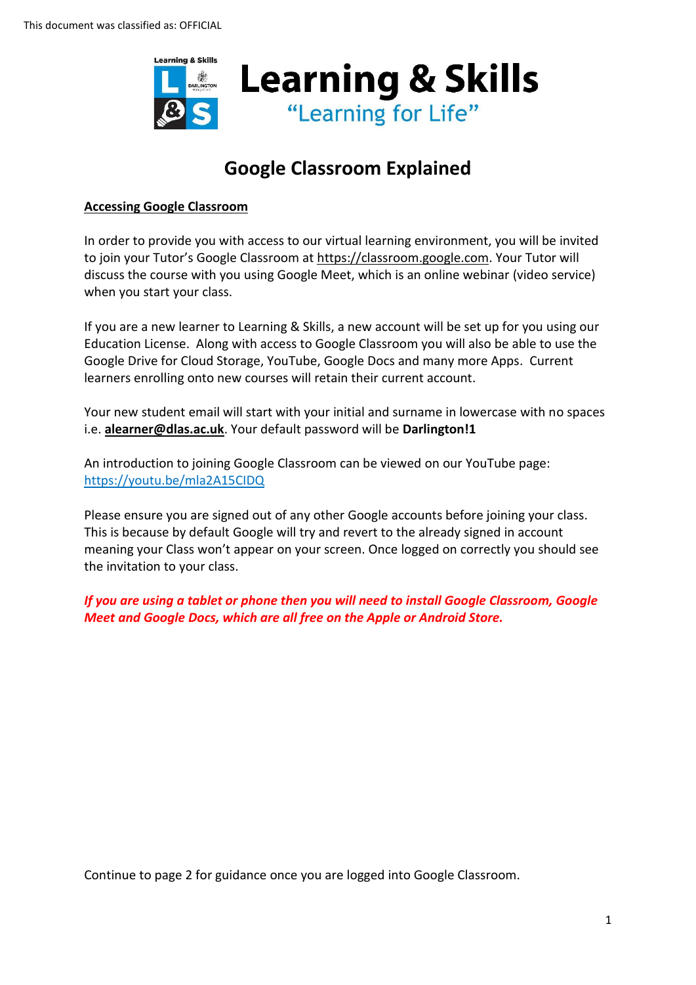

## **Google Classroom Explained**

## **Accessing Google Classroom**

In order to provide you with access to our virtual learning environment, you will be invited to join your Tutor's Google Classroom at [https://classroom.google.com.](https://classroom.google.com/) Your Tutor will discuss the course with you using Google Meet, which is an online webinar (video service) when you start your class.

If you are a new learner to Learning & Skills, a new account will be set up for you using our Education License. Along with access to Google Classroom you will also be able to use the Google Drive for Cloud Storage, YouTube, Google Docs and many more Apps. Current learners enrolling onto new courses will retain their current account.

Your new student email will start with your initial and surname in lowercase with no spaces i.e. **[alearner@dlas.ac.uk](mailto:alearner@dlas.ac.uk)**. Your default password will be **Darlington!1**

An introduction to joining Google Classroom can be viewed on our YouTube page: <https://youtu.be/mla2A15CIDQ>

Please ensure you are signed out of any other Google accounts before joining your class. This is because by default Google will try and revert to the already signed in account meaning your Class won't appear on your screen. Once logged on correctly you should see the invitation to your class.

*If you are using a tablet or phone then you will need to install Google Classroom, Google Meet and Google Docs, which are all free on the Apple or Android Store.*

Continue to page 2 for guidance once you are logged into Google Classroom.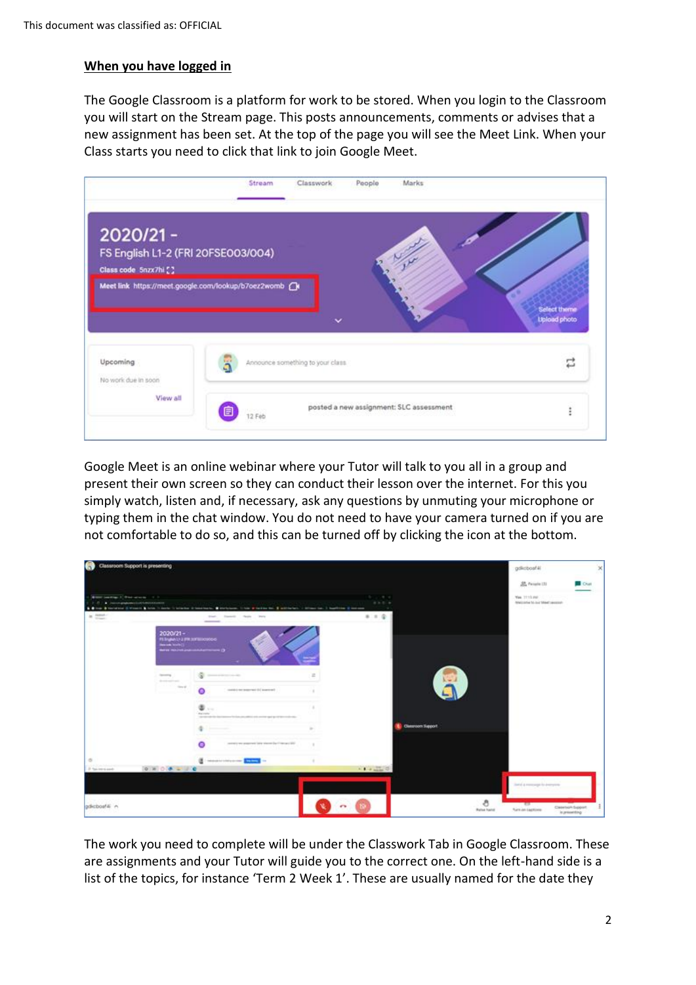## **When you have logged in**

The Google Classroom is a platform for work to be stored. When you login to the Classroom you will start on the Stream page. This posts announcements, comments or advises that a new assignment has been set. At the top of the page you will see the Meet Link. When your Class starts you need to click that link to join Google Meet.



Google Meet is an online webinar where your Tutor will talk to you all in a group and present their own screen so they can conduct their lesson over the internet. For this you simply watch, listen and, if necessary, ask any questions by unmuting your microphone or typing them in the chat window. You do not need to have your camera turned on if you are not comfortable to do so, and this can be turned off by clicking the icon at the bottom.

| Classroom Support is presenting<br>L.                                                       | gdictioaf4(<br>×                                            |                                                                                                                                                                                                                                                                                                                                                                                                                                                                                                              |                                                                                                                                                                                                                                                                                                                                                                                                                                                              |                          |                                                                                                 |
|---------------------------------------------------------------------------------------------|-------------------------------------------------------------|--------------------------------------------------------------------------------------------------------------------------------------------------------------------------------------------------------------------------------------------------------------------------------------------------------------------------------------------------------------------------------------------------------------------------------------------------------------------------------------------------------------|--------------------------------------------------------------------------------------------------------------------------------------------------------------------------------------------------------------------------------------------------------------------------------------------------------------------------------------------------------------------------------------------------------------------------------------------------------------|--------------------------|-------------------------------------------------------------------------------------------------|
|                                                                                             |                                                             |                                                                                                                                                                                                                                                                                                                                                                                                                                                                                                              |                                                                                                                                                                                                                                                                                                                                                                                                                                                              |                          | EL Parado UU<br>Crust                                                                           |
| <b>Black perform 1. Statistics and 1. Statistics</b><br>2 F 1 C international continues and |                                                             | & Blue & Norwane Circuits & Arts 11 Auto 12 Andrea Distributo, @ Helpham, 11 Apr & Notice No. 2 Andreas Co., 2 Auction @ London                                                                                                                                                                                                                                                                                                                                                                              | <b>British Miles</b><br>4 5 6 6                                                                                                                                                                                                                                                                                                                                                                                                                              | - 4                      | Van 3115 PAC<br>Welcome to our Meet securer-<br>a transmission and a                            |
| $\approx$ mm $^{-}$                                                                         |                                                             | Frankell Harde Starts<br>State<br>$\frac{1}{2} \left( \frac{1}{2} \right) \left( \frac{1}{2} \right) \left( \frac{1}{2} \right) \left( \frac{1}{2} \right) \left( \frac{1}{2} \right) \left( \frac{1}{2} \right) \left( \frac{1}{2} \right) \left( \frac{1}{2} \right) \left( \frac{1}{2} \right) \left( \frac{1}{2} \right) \left( \frac{1}{2} \right) \left( \frac{1}{2} \right) \left( \frac{1}{2} \right) \left( \frac{1}{2} \right) \left( \frac{1}{2} \right) \left( \frac{1}{2} \right) \left( \frac$ | 8.1.0                                                                                                                                                                                                                                                                                                                                                                                                                                                        |                          |                                                                                                 |
|                                                                                             | $2020/21 -$<br>PERMITTER STEPHEN<br><b>Beater World Cl.</b> | C membership and contact                                                                                                                                                                                                                                                                                                                                                                                                                                                                                     |                                                                                                                                                                                                                                                                                                                                                                                                                                                              |                          |                                                                                                 |
|                                                                                             | <b>Security</b><br>designed by the                          | <b>Channel Avenue Avenue Avenue</b>                                                                                                                                                                                                                                                                                                                                                                                                                                                                          | $\Xi$                                                                                                                                                                                                                                                                                                                                                                                                                                                        |                          |                                                                                                 |
|                                                                                             | <b>CONTRACTOR</b><br>____                                   | contact in terms and the assessed<br>$\bullet$                                                                                                                                                                                                                                                                                                                                                                                                                                                               |                                                                                                                                                                                                                                                                                                                                                                                                                                                              |                          |                                                                                                 |
|                                                                                             |                                                             | $\oplus \ldots$<br>monte<br>----<br>the later play address with convenient age of the components of the                                                                                                                                                                                                                                                                                                                                                                                                      |                                                                                                                                                                                                                                                                                                                                                                                                                                                              |                          |                                                                                                 |
|                                                                                             |                                                             |                                                                                                                                                                                                                                                                                                                                                                                                                                                                                                              |                                                                                                                                                                                                                                                                                                                                                                                                                                                              | <b>Classroom Support</b> |                                                                                                 |
|                                                                                             |                                                             | contract was populated later shown the Contract SEC.                                                                                                                                                                                                                                                                                                                                                                                                                                                         |                                                                                                                                                                                                                                                                                                                                                                                                                                                              |                          |                                                                                                 |
| $\circ$                                                                                     |                                                             | <b>E</b> interest interested and                                                                                                                                                                                                                                                                                                                                                                                                                                                                             |                                                                                                                                                                                                                                                                                                                                                                                                                                                              |                          |                                                                                                 |
| 1. 3 Year mentioned:                                                                        | $[0, 3]$ $0$ $(0, 2)$ $(0, 0)$                              |                                                                                                                                                                                                                                                                                                                                                                                                                                                                                                              | $\mathcal{N} = \mathcal{N} + \mathcal{N} + \mathcal{N} + \mathcal{N} + \mathcal{N} + \mathcal{N} + \mathcal{N} + \mathcal{N} + \mathcal{N} + \mathcal{N} + \mathcal{N} + \mathcal{N} + \mathcal{N} + \mathcal{N} + \mathcal{N} + \mathcal{N} + \mathcal{N} + \mathcal{N} + \mathcal{N} + \mathcal{N} + \mathcal{N} + \mathcal{N} + \mathcal{N} + \mathcal{N} + \mathcal{N} + \mathcal{N} + \mathcal{N} + \mathcal{N} + \mathcal{N} + \mathcal{N} + \mathcal$ |                          |                                                                                                 |
|                                                                                             |                                                             |                                                                                                                                                                                                                                                                                                                                                                                                                                                                                                              |                                                                                                                                                                                                                                                                                                                                                                                                                                                              |                          | liability are recognized to descriptions.                                                       |
| gdkcboaf-li n                                                                               |                                                             |                                                                                                                                                                                                                                                                                                                                                                                                                                                                                                              |                                                                                                                                                                                                                                                                                                                                                                                                                                                              |                          | ð<br><b>TIT</b><br>Clearborh Support<br><b>Rules hand</b><br>furni on backlone<br>is presenting |

The work you need to complete will be under the Classwork Tab in Google Classroom. These are assignments and your Tutor will guide you to the correct one. On the left-hand side is a list of the topics, for instance 'Term 2 Week 1'. These are usually named for the date they